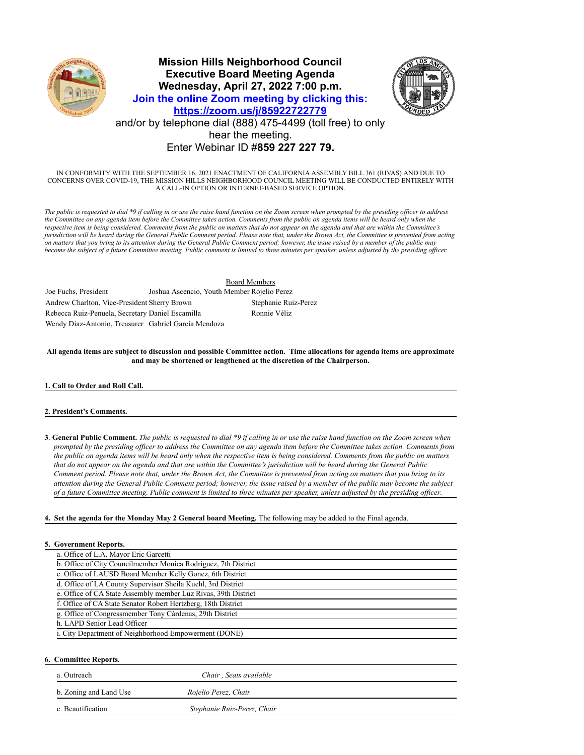

# **Mission Hills Neighborhood Council Executive Board Meeting Agenda Wednesday, April 27, 2022 7:00 p.m. Join the online Zoom meeting by clicking this: https://zoom.us/j/85922722779** and/or by telephone dial (888) 475-4499 (toll free) to only hear the meeting. Enter Webinar ID #**859 227 227 79.**



IN CONFORMITY WITH THE SEPTEMBER 16, 2021 ENACTMENT OF CALIFORNIA ASSEMBLY BILL 361 (RIVAS) AND DUE TO CONCERNS OVER COVID-19, THE MISSION HILLS NEIGHBORHOOD COUNCIL MEETING WILL BE CONDUCTED ENTIRELY WITH A CALL-IN OPTION OR INTERNET-BASED SERVICE OPTION.

*The public is requested to dial \*9 if calling in or use the raise hand function on the Zoom screen when prompted by the presiding officer to address the Committee on any agenda item before the Committee takes action. Comments from the public on agenda items will be heard only when the respective item is being considered. Comments from the public on matters that do not appear on the agenda and that are within the Committee's jurisdiction will be heard during the General Public Comment period. Please note that, under the Brown Act, the Committee is prevented from acting on matters that you bring to its attention during the General Public Comment period; however, the issue raised by a member of the public may become the subject of a future Committee meeting. Public comment is limited to three minutes per speaker, unless adjusted by the presiding officer.*

Board Members Joe Fuchs, President Joshua Ascencio, Youth Member Rojelio Perez Andrew Charlton, Vice-President Sherry Brown Stephanie Ruiz-Perez Rebecca Ruiz-Penuela, Secretary Daniel Escamilla Ronnie Véliz Wendy Diaz-Antonio, Treasurer Gabriel Garcia Mendoza

**All agenda items are subject to discussion and possible Committee action. Time allocations for agenda items are approximate and may be shortened or lengthened at the discretion of the Chairperson.**

#### **1. Call to Order and Roll Call.**

#### **2. President's Comments.**

**3**. **General Public Comment.** *The public is requested to dial \*9 if calling in or use the raise hand function on the Zoom screen when prompted by the presiding officer to address the Committee on any agenda item before the Committee takes action. Comments from the public on agenda items will be heard only when the respective item is being considered. Comments from the public on matters that do not appear on the agenda and that are within the Committee's jurisdiction will be heard during the General Public Comment period. Please note that, under the Brown Act, the Committee is prevented from acting on matters that you bring to its attention during the General Public Comment period; however, the issue raised by a member of the public may become the subject of a future Committee meeting. Public comment is limited to three minutes per speaker, unless adjusted by the presiding officer.*

#### **4. Set the agenda for the Monday May 2 General board Meeting.** The following may be added to the Final agenda.

#### **5. Government Reports.**

| a. Office of L.A. Mayor Eric Garcetti                          |  |
|----------------------------------------------------------------|--|
| b. Office of City Councilmember Monica Rodriguez, 7th District |  |
| c. Office of LAUSD Board Member Kelly Gonez, 6th District      |  |
| d. Office of LA County Supervisor Sheila Kuehl, 3rd District   |  |
| e. Office of CA State Assembly member Luz Rivas, 39th District |  |
| f. Office of CA State Senator Robert Hertzberg, 18th District  |  |
| g. Office of Congressmember Tony Cárdenas, 29th District       |  |
| h. LAPD Senior Lead Officer                                    |  |
| i. City Department of Neighborhood Empowerment (DONE)          |  |
|                                                                |  |

### **6. Committee Reports.**

| a. Outreach            | Chair, Seats available      |
|------------------------|-----------------------------|
| b. Zoning and Land Use | Rojelio Perez, Chair        |
| c. Beautification      | Stephanie Ruiz-Perez, Chair |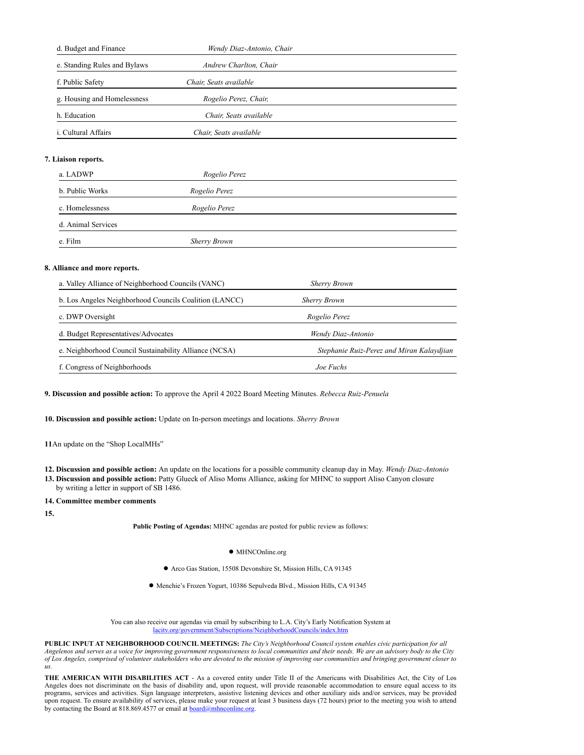| d. Budget and Finance        | Wendy Diaz-Antonio, Chair |  |
|------------------------------|---------------------------|--|
| e. Standing Rules and Bylaws | Andrew Charlton, Chair    |  |
| f. Public Safety             | Chair, Seats available    |  |
| g. Housing and Homelessness  | Rogelio Perez, Chair,     |  |
| h. Education                 | Chair, Seats available    |  |
| <i>i.</i> Cultural Affairs   | Chair, Seats available    |  |
|                              |                           |  |

## **7. Liaison reports.**

| a. LADWP           | Rogelio Perez       |  |
|--------------------|---------------------|--|
| b. Public Works    | Rogelio Perez       |  |
| c. Homelessness    | Rogelio Perez       |  |
| d. Animal Services |                     |  |
| e. Film            | <b>Sherry Brown</b> |  |

#### **8. Alliance and more reports.**

| a. Valley Alliance of Neighborhood Councils (VANC)     | <b>Sherry Brown</b>                       |
|--------------------------------------------------------|-------------------------------------------|
| b. Los Angeles Neighborhood Councils Coalition (LANCC) | <b>Sherry Brown</b>                       |
| c. DWP Oversight                                       | Rogelio Perez                             |
| d. Budget Representatives/Advocates                    | Wendy Diaz-Antonio                        |
| e. Neighborhood Council Sustainability Alliance (NCSA) | Stephanie Ruiz-Perez and Miran Kalaydjian |
| f. Congress of Neighborhoods                           | Joe Fuchs                                 |

**9. Discussion and possible action:** To approve the April 4 2022 Board Meeting Minutes. *Rebecca Ruiz-Penuela*

**10. Discussion and possible action:** Update on In-person meetings and locations. *Sherry Brown*

**11**An update on the "Shop LocalMHs"

**12. Discussion and possible action:** An update on the locations for a possible community cleanup day in May. *Wendy Diaz-Antonio*

- **13. Discussion and possible action:** Patty Glueck of Aliso Moms Alliance, asking for MHNC to support Aliso Canyon closure
- by writing a letter in support of SB 1486.

**14. Committee member comments**

**15.**

**Public Posting of Agendas:** MHNC agendas are posted for public review as follows:

- MHNCOnline.org
- Arco Gas Station, 15508 Devonshire St, Mission Hills, CA 91345

● Menchie's Frozen Yogurt, 10386 Sepulveda Blvd., Mission Hills, CA 91345

You can also receive our agendas via email by subscribing to L.A. City's Early Notification System at lacity.org/government/Subscriptions/NeighborhoodCouncils/index.htm

**PUBLIC INPUT AT NEIGHBORHOOD COUNCIL MEETINGS:** *The City's Neighborhood Council system enables civic participation for all Angelenos and serves as a voice for improving government responsiveness to local communities and their needs. We are an advisory body to the City of Los Angeles, comprised of volunteer stakeholders who are devoted to the mission of improving our communities and bringing government closer to us.*

**THE AMERICAN WITH DISABILITIES ACT** - As a covered entity under Title II of the Americans with Disabilities Act, the City of Los Angeles does not discriminate on the basis of disability and, upon request, will provide reasonable accommodation to ensure equal access to its programs, services and activities. Sign language interpreters, assistive listening devices and other auxiliary aids and/or services, may be provided upon request. To ensure availability of services, please make your request at least 3 business days (72 hours) prior to the meeting you wish to attend by contacting the Board at 818.869.4577 or email at **board@mhnconline.org**.